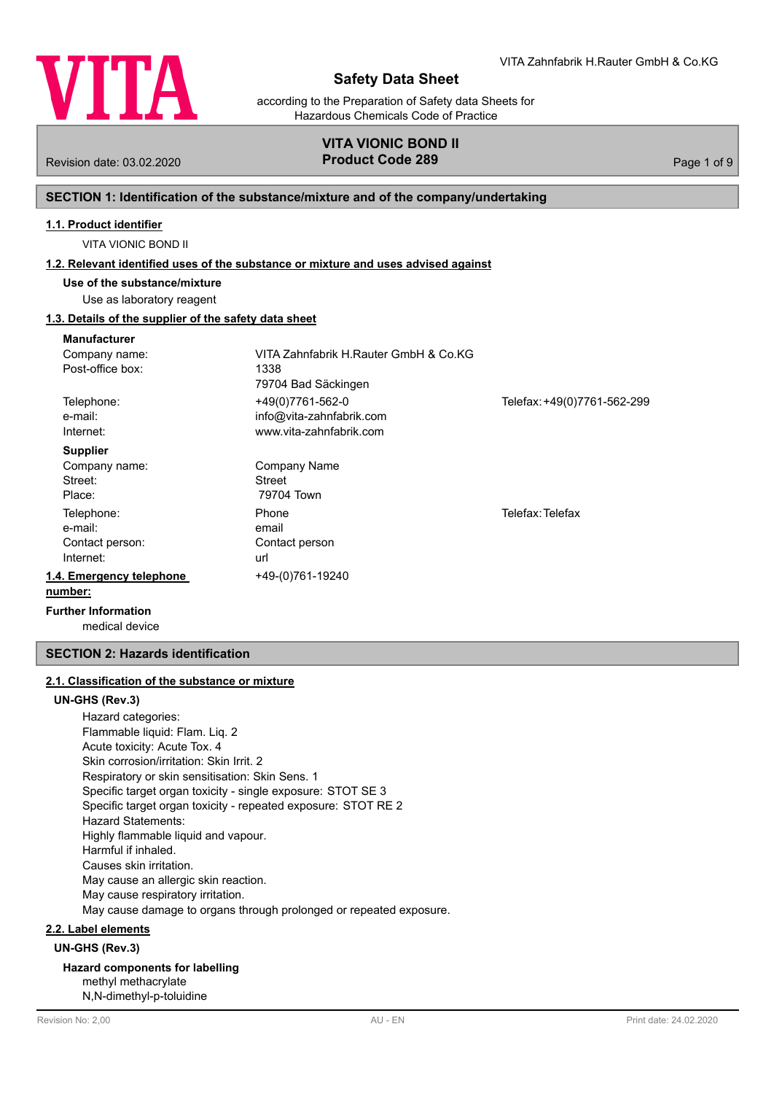

according to the Preparation of Safety data Sheets for Hazardous Chemicals Code of Practice

## **VITA VIONIC BOND II** Revision date: 03.02.2020 **Product Code 289** Page 1 of 9

## **SECTION 1: Identification of the substance/mixture and of the company/undertaking**

### **1.1. Product identifier**

VITA VIONIC BOND II

### **1.2. Relevant identified uses of the substance or mixture and uses advised against**

**Use of the substance/mixture**

## Use as laboratory reagent

## **1.3. Details of the supplier of the safety data sheet**

| <b>Manufacturer</b>        |                                       |                             |
|----------------------------|---------------------------------------|-----------------------------|
| Company name:              | VITA Zahnfabrik H.Rauter GmbH & Co.KG |                             |
| Post-office box:           | 1338                                  |                             |
|                            | 79704 Bad Säckingen                   |                             |
| Telephone:                 | +49(0)7761-562-0                      | Telefax: +49(0)7761-562-299 |
| e-mail:                    | info@vita-zahnfabrik.com              |                             |
| Internet:                  | www.vita-zahnfabrik.com               |                             |
| <b>Supplier</b>            |                                       |                             |
| Company name:              | Company Name                          |                             |
| Street:                    | Street                                |                             |
| Place:                     | 79704 Town                            |                             |
| Telephone:                 | Phone                                 | Telefax: Telefax            |
| e-mail:                    | email                                 |                             |
| Contact person:            | Contact person                        |                             |
| Internet:                  | url                                   |                             |
| 1.4. Emergency telephone   | +49-(0)761-19240                      |                             |
| number:                    |                                       |                             |
| <b>Further Information</b> |                                       |                             |

medical device

## **SECTION 2: Hazards identification**

## **2.1. Classification of the substance or mixture**

## **UN-GHS (Rev.3)**

Hazard categories: Flammable liquid: Flam. Liq. 2 Acute toxicity: Acute Tox. 4 Skin corrosion/irritation: Skin Irrit. 2 Respiratory or skin sensitisation: Skin Sens. 1 Specific target organ toxicity - single exposure: STOT SE 3 Specific target organ toxicity - repeated exposure: STOT RE 2 Hazard Statements: Highly flammable liquid and vapour. Harmful if inhaled. Causes skin irritation. May cause an allergic skin reaction. May cause respiratory irritation. May cause damage to organs through prolonged or repeated exposure.

### **2.2. Label elements**

**UN-GHS (Rev.3)**

**Hazard components for labelling** methyl methacrylate

N,N-dimethyl-p-toluidine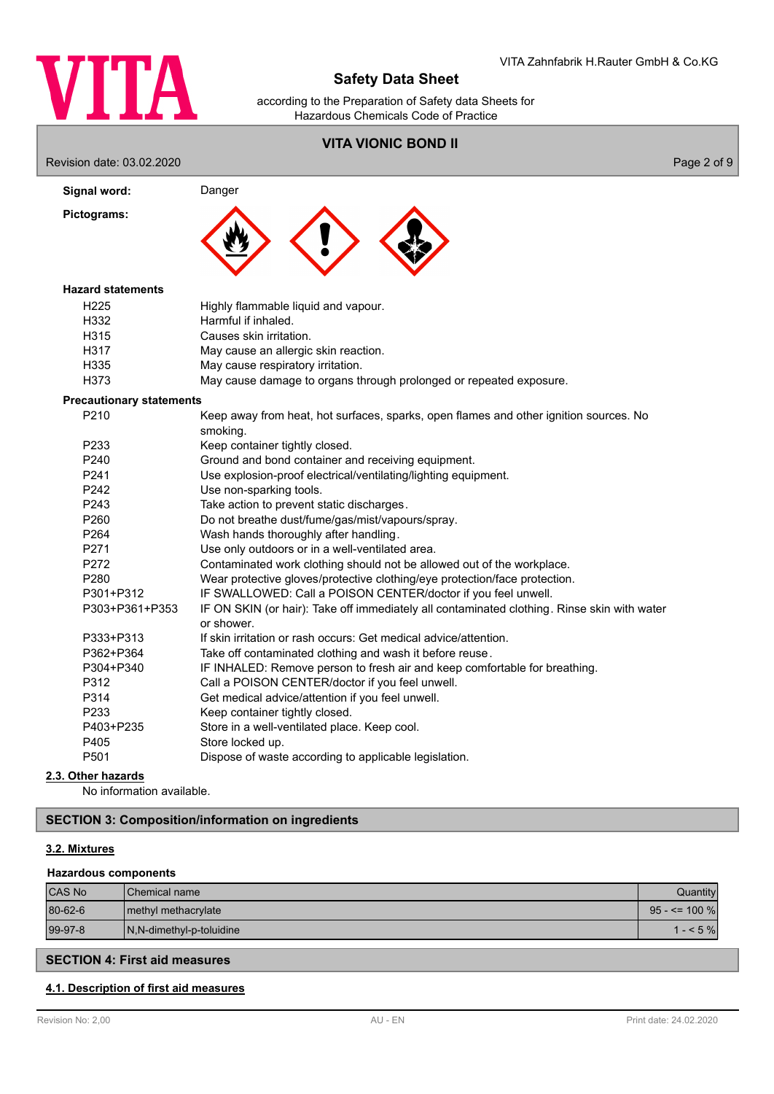

according to the Preparation of Safety data Sheets for Hazardous Chemicals Code of Practice

## **VITA VIONIC BOND II**

Revision date: 03.02.2020 Page 2 of 9

| Signal word:                    | Danger                                                                                                    |
|---------------------------------|-----------------------------------------------------------------------------------------------------------|
| Pictograms:                     |                                                                                                           |
| <b>Hazard statements</b>        |                                                                                                           |
| H225                            | Highly flammable liquid and vapour.                                                                       |
| H332                            | Harmful if inhaled.                                                                                       |
| H315                            | Causes skin irritation.                                                                                   |
| H317                            | May cause an allergic skin reaction.                                                                      |
| H335                            | May cause respiratory irritation.                                                                         |
| H373                            | May cause damage to organs through prolonged or repeated exposure.                                        |
| <b>Precautionary statements</b> |                                                                                                           |
| P <sub>210</sub>                | Keep away from heat, hot surfaces, sparks, open flames and other ignition sources. No<br>smoking.         |
| P <sub>233</sub>                | Keep container tightly closed.                                                                            |
| P240                            | Ground and bond container and receiving equipment.                                                        |
| P241                            | Use explosion-proof electrical/ventilating/lighting equipment.                                            |
| P242                            | Use non-sparking tools.                                                                                   |
| P243                            | Take action to prevent static discharges.                                                                 |
| P260                            | Do not breathe dust/fume/gas/mist/vapours/spray.                                                          |
| P <sub>264</sub>                | Wash hands thoroughly after handling.                                                                     |
| P271                            | Use only outdoors or in a well-ventilated area.                                                           |
| P272                            | Contaminated work clothing should not be allowed out of the workplace.                                    |
| P280                            | Wear protective gloves/protective clothing/eye protection/face protection.                                |
| P301+P312                       | IF SWALLOWED: Call a POISON CENTER/doctor if you feel unwell.                                             |
| P303+P361+P353                  | IF ON SKIN (or hair): Take off immediately all contaminated clothing. Rinse skin with water<br>or shower. |
| P333+P313                       | If skin irritation or rash occurs: Get medical advice/attention.                                          |
| P362+P364                       | Take off contaminated clothing and wash it before reuse.                                                  |
| P304+P340                       | IF INHALED: Remove person to fresh air and keep comfortable for breathing.                                |
| P312                            | Call a POISON CENTER/doctor if you feel unwell.                                                           |
| P314                            | Get medical advice/attention if you feel unwell.                                                          |
| P233                            | Keep container tightly closed.                                                                            |
| P403+P235                       | Store in a well-ventilated place. Keep cool.                                                              |
| P405                            | Store locked up.                                                                                          |
| P501                            | Dispose of waste according to applicable legislation.                                                     |

## **2.3. Other hazards**

No information available.

## **SECTION 3: Composition/information on ingredients**

## **3.2. Mixtures**

## **Hazardous components**

| <b>CAS No</b> | <b>Chemical name</b>     | Quantitvi         |
|---------------|--------------------------|-------------------|
| 80-62-6       | I methyl methacrylate    | $95 - 5 = 100 \%$ |
| $99-97-8$     | N,N-dimethyl-p-toluidine | $1 - 5\%$         |
|               |                          |                   |

## **SECTION 4: First aid measures**

## **4.1. Description of first aid measures**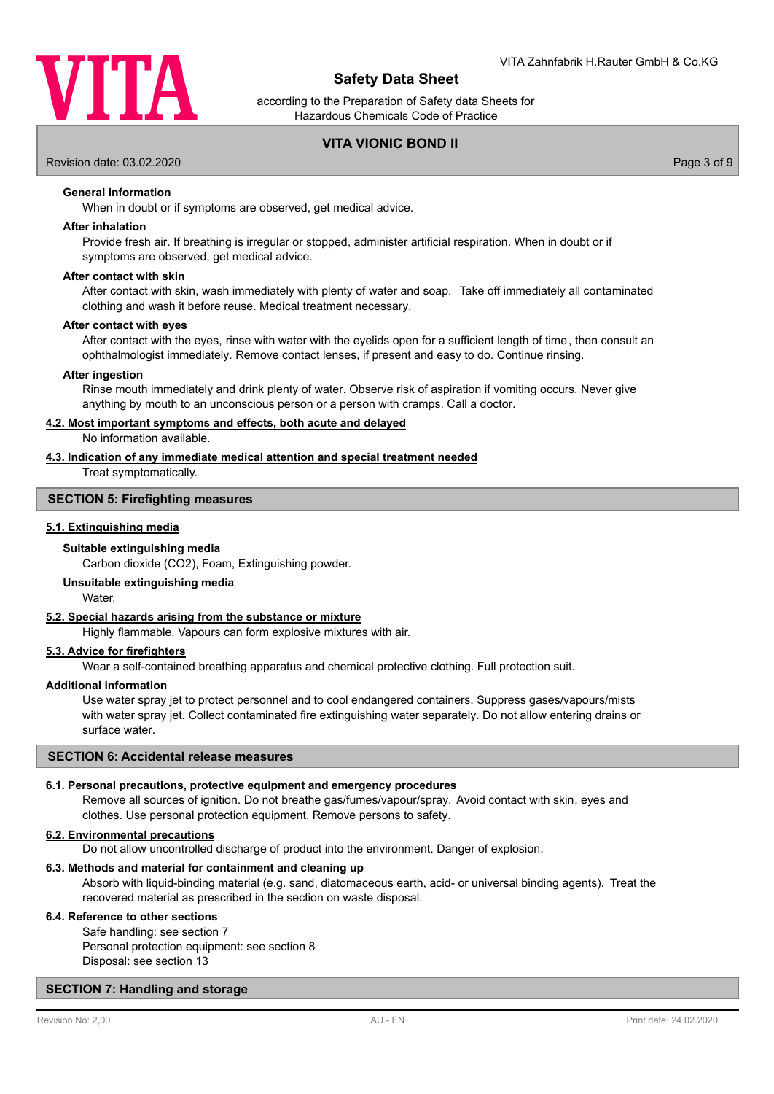

according to the Preparation of Safety data Sheets for Hazardous Chemicals Code of Practice

## **VITA VIONIC BOND II**

Revision date: 03.02.2020 Page 3 of 9

**General information**

When in doubt or if symptoms are observed, get medical advice.

### **After inhalation**

Provide fresh air. If breathing is irregular or stopped, administer artificial respiration. When in doubt or if symptoms are observed, get medical advice.

### **After contact with skin**

After contact with skin, wash immediately with plenty of water and soap. Take off immediately all contaminated clothing and wash it before reuse. Medical treatment necessary.

## **After contact with eyes**

After contact with the eyes, rinse with water with the eyelids open for a sufficient length of time, then consult an ophthalmologist immediately. Remove contact lenses, if present and easy to do. Continue rinsing.

### **After ingestion**

Rinse mouth immediately and drink plenty of water. Observe risk of aspiration if vomiting occurs. Never give anything by mouth to an unconscious person or a person with cramps. Call a doctor.

### **4.2. Most important symptoms and effects, both acute and delayed**

No information available.

## **4.3. Indication of any immediate medical attention and special treatment needed**

Treat symptomatically.

## **SECTION 5: Firefighting measures**

### **5.1. Extinguishing media**

### **Suitable extinguishing media**

Carbon dioxide (CO2), Foam, Extinguishing powder.

### **Unsuitable extinguishing media**

Water.

## **5.2. Special hazards arising from the substance or mixture**

Highly flammable. Vapours can form explosive mixtures with air.

## **5.3. Advice for firefighters**

Wear a self-contained breathing apparatus and chemical protective clothing. Full protection suit.

#### **Additional information**

Use water spray jet to protect personnel and to cool endangered containers. Suppress gases/vapours/mists with water spray jet. Collect contaminated fire extinguishing water separately. Do not allow entering drains or surface water.

### **SECTION 6: Accidental release measures**

### **6.1. Personal precautions, protective equipment and emergency procedures**

Remove all sources of ignition. Do not breathe gas/fumes/vapour/spray. Avoid contact with skin, eyes and clothes. Use personal protection equipment. Remove persons to safety.

## **6.2. Environmental precautions**

Do not allow uncontrolled discharge of product into the environment. Danger of explosion.

### **6.3. Methods and material for containment and cleaning up**

Absorb with liquid-binding material (e.g. sand, diatomaceous earth, acid- or universal binding agents). Treat the recovered material as prescribed in the section on waste disposal.

## **6.4. Reference to other sections**

Safe handling: see section 7 Personal protection equipment: see section 8 Disposal: see section 13

### **SECTION 7: Handling and storage**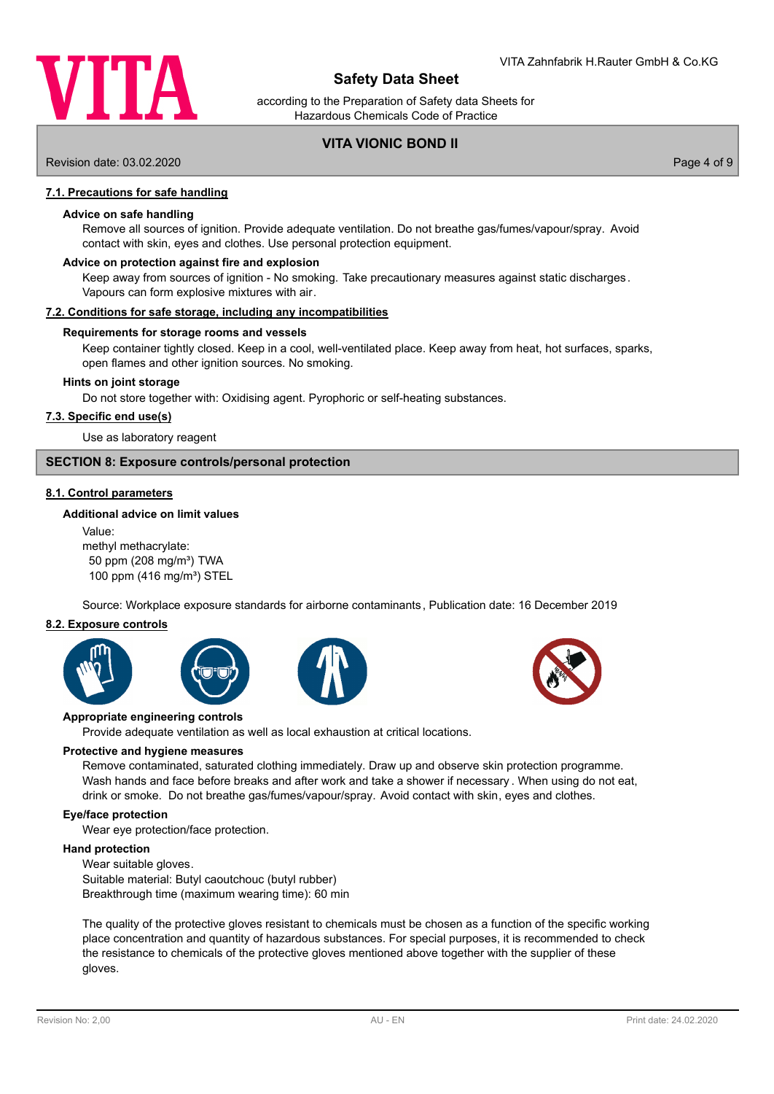

according to the Preparation of Safety data Sheets for Hazardous Chemicals Code of Practice

## **VITA VIONIC BOND II**

Revision date: 03.02.2020 Page 4 of 9

## **7.1. Precautions for safe handling**

#### **Advice on safe handling**

Remove all sources of ignition. Provide adequate ventilation. Do not breathe gas/fumes/vapour/spray. Avoid contact with skin, eyes and clothes. Use personal protection equipment.

### **Advice on protection against fire and explosion**

Keep away from sources of ignition - No smoking. Take precautionary measures against static discharges. Vapours can form explosive mixtures with air.

#### **7.2. Conditions for safe storage, including any incompatibilities**

### **Requirements for storage rooms and vessels**

Keep container tightly closed. Keep in a cool, well-ventilated place. Keep away from heat, hot surfaces, sparks, open flames and other ignition sources. No smoking.

#### **Hints on joint storage**

Do not store together with: Oxidising agent. Pyrophoric or self-heating substances.

### **7.3. Specific end use(s)**

Use as laboratory reagent

## **SECTION 8: Exposure controls/personal protection**

### **8.1. Control parameters**

### **Additional advice on limit values**

Value: methyl methacrylate: 50 ppm (208 mg/m<sup>3</sup>) TWA 100 ppm (416 mg/m<sup>3</sup>) STEL

Source: Workplace exposure standards for airborne contaminants, Publication date: 16 December 2019

## **8.2. Exposure controls**









#### **Appropriate engineering controls**

Provide adequate ventilation as well as local exhaustion at critical locations.

#### **Protective and hygiene measures**

Remove contaminated, saturated clothing immediately. Draw up and observe skin protection programme. Wash hands and face before breaks and after work and take a shower if necessary . When using do not eat, drink or smoke. Do not breathe gas/fumes/vapour/spray. Avoid contact with skin, eyes and clothes.

### **Eye/face protection**

Wear eye protection/face protection.

### **Hand protection**

Wear suitable gloves. Suitable material: Butyl caoutchouc (butyl rubber) Breakthrough time (maximum wearing time): 60 min

The quality of the protective gloves resistant to chemicals must be chosen as a function of the specific working place concentration and quantity of hazardous substances. For special purposes, it is recommended to check the resistance to chemicals of the protective gloves mentioned above together with the supplier of these gloves.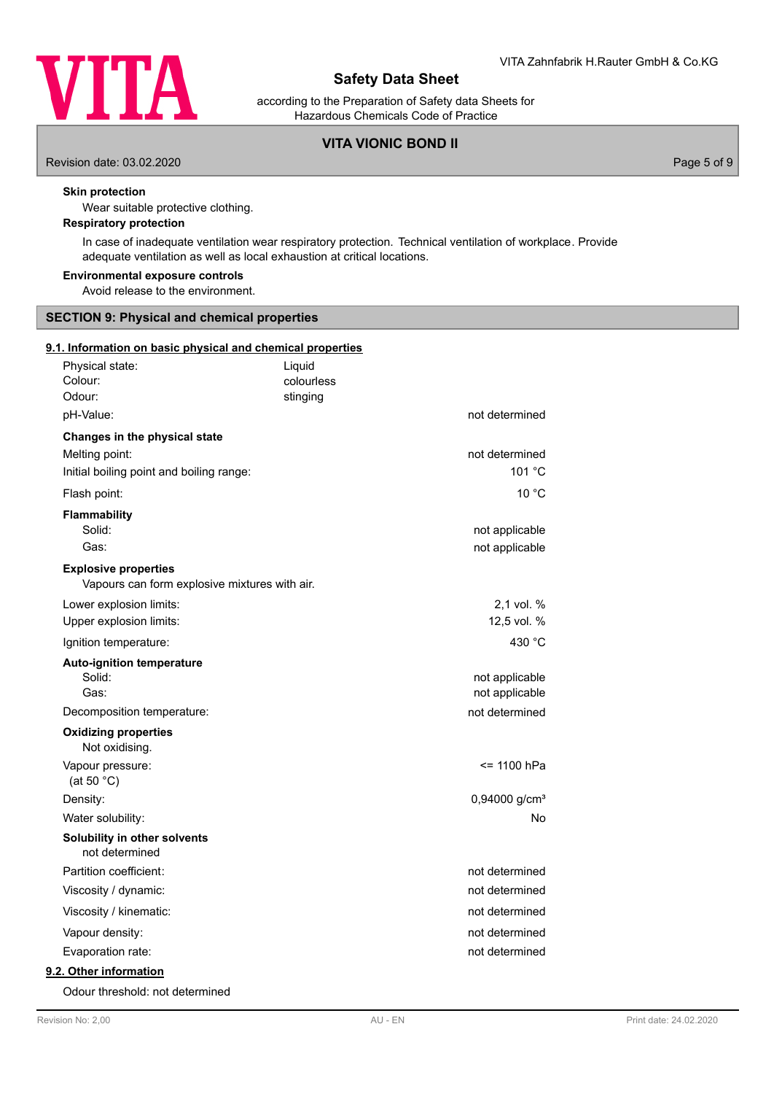

according to the Preparation of Safety data Sheets for Hazardous Chemicals Code of Practice

## **VITA VIONIC BOND II**

Revision date: 03.02.2020 Page 5 of 9

## **Skin protection**

Wear suitable protective clothing.

## **Respiratory protection**

In case of inadequate ventilation wear respiratory protection. Technical ventilation of workplace. Provide adequate ventilation as well as local exhaustion at critical locations.

### **Environmental exposure controls**

Avoid release to the environment.

## **SECTION 9: Physical and chemical properties**

## **9.1. Information on basic physical and chemical properties**

| Physical state:<br>Colour:<br>Odour:                                                        | Liquid<br>colourless<br>stinging |                                  |
|---------------------------------------------------------------------------------------------|----------------------------------|----------------------------------|
| pH-Value:                                                                                   |                                  | not determined                   |
| Changes in the physical state<br>Melting point:<br>Initial boiling point and boiling range: |                                  | not determined<br>101 °C         |
| Flash point:                                                                                |                                  | 10 °C                            |
| Flammability<br>Solid:<br>Gas:                                                              |                                  | not applicable<br>not applicable |
| <b>Explosive properties</b><br>Vapours can form explosive mixtures with air.                |                                  |                                  |
| Lower explosion limits:                                                                     |                                  | 2,1 vol. %                       |
| Upper explosion limits:                                                                     |                                  | 12,5 vol. %                      |
| Ignition temperature:                                                                       |                                  | 430 °C                           |
| <b>Auto-ignition temperature</b><br>Solid:<br>Gas:                                          |                                  | not applicable<br>not applicable |
| Decomposition temperature:                                                                  |                                  | not determined                   |
| <b>Oxidizing properties</b><br>Not oxidising.                                               |                                  |                                  |
| Vapour pressure:<br>(at 50 $°C$ )                                                           |                                  | <= 1100 hPa                      |
| Density:                                                                                    |                                  | 0,94000 g/cm <sup>3</sup>        |
| Water solubility:                                                                           |                                  | No                               |
| Solubility in other solvents<br>not determined                                              |                                  |                                  |
| Partition coefficient:                                                                      |                                  | not determined                   |
| Viscosity / dynamic:                                                                        |                                  | not determined                   |
| Viscosity / kinematic:                                                                      |                                  | not determined                   |
| Vapour density:                                                                             |                                  | not determined                   |
| Evaporation rate:                                                                           |                                  | not determined                   |
| 9.2. Other information                                                                      |                                  |                                  |

Odour threshold: not determined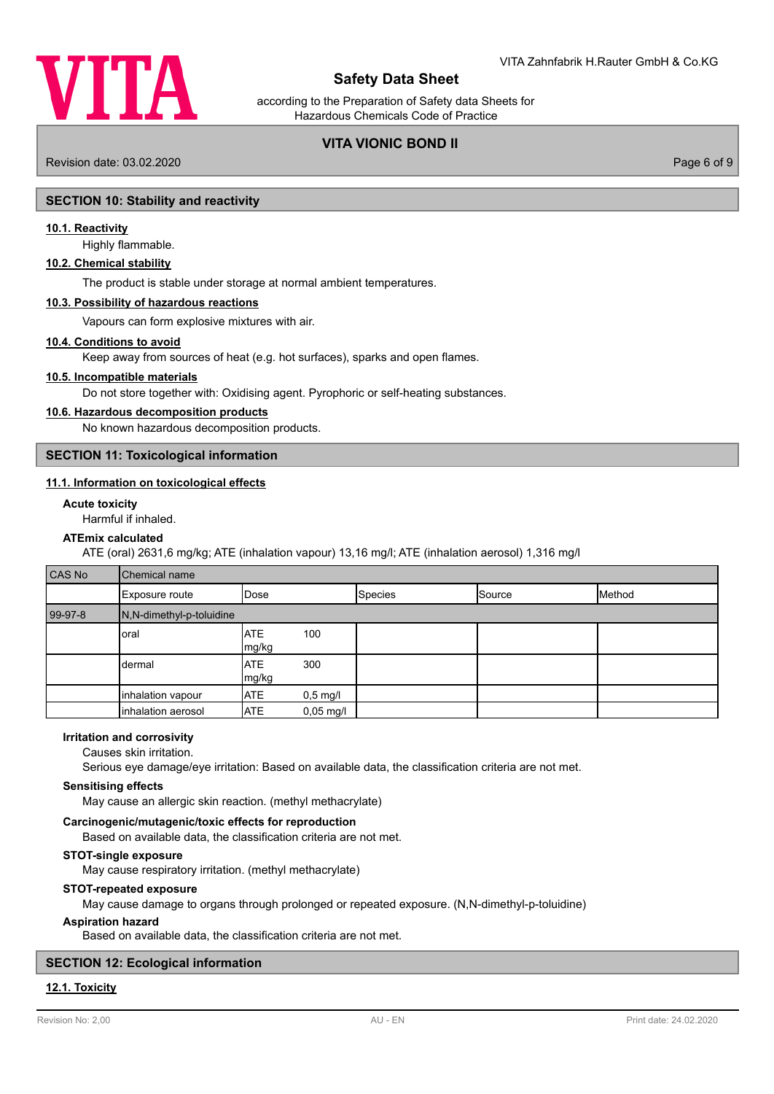

according to the Preparation of Safety data Sheets for Hazardous Chemicals Code of Practice

## **VITA VIONIC BOND II**

Revision date: 03.02.2020 Page 6 of 9

## **SECTION 10: Stability and reactivity**

### **10.1. Reactivity**

Highly flammable.

#### **10.2. Chemical stability**

The product is stable under storage at normal ambient temperatures.

## **10.3. Possibility of hazardous reactions**

Vapours can form explosive mixtures with air.

#### **10.4. Conditions to avoid**

Keep away from sources of heat (e.g. hot surfaces), sparks and open flames.

## **10.5. Incompatible materials**

Do not store together with: Oxidising agent. Pyrophoric or self-heating substances.

#### **10.6. Hazardous decomposition products**

No known hazardous decomposition products.

**SECTION 11: Toxicological information**

## **11.1. Information on toxicological effects**

### **Acute toxicity**

Harmful if inhaled.

## **ATEmix calculated**

ATE (oral) 2631,6 mg/kg; ATE (inhalation vapour) 13,16 mg/l; ATE (inhalation aerosol) 1,316 mg/l

| <b>CAS No</b> | <b>Chemical name</b>     |                      |                        |                |        |        |
|---------------|--------------------------|----------------------|------------------------|----------------|--------|--------|
|               | Exposure route           | <b>IDose</b>         |                        | <b>Species</b> | Source | Method |
| 99-97-8       | N,N-dimethyl-p-toluidine |                      |                        |                |        |        |
|               | oral                     | IATE<br>mg/kg        | 100                    |                |        |        |
|               | dermal                   | <b>IATE</b><br>mg/kg | 300                    |                |        |        |
|               | inhalation vapour        | <b>ATE</b>           | $0,5$ mg/l             |                |        |        |
|               | inhalation aerosol       | <b>ATE</b>           | $0,05 \,\mathrm{mg}/I$ |                |        |        |

## **Irritation and corrosivity**

Causes skin irritation.

Serious eye damage/eye irritation: Based on available data, the classification criteria are not met.

### **Sensitising effects**

May cause an allergic skin reaction. (methyl methacrylate)

## **Carcinogenic/mutagenic/toxic effects for reproduction**

Based on available data, the classification criteria are not met.

## **STOT-single exposure**

May cause respiratory irritation. (methyl methacrylate)

#### **STOT-repeated exposure**

May cause damage to organs through prolonged or repeated exposure. (N,N-dimethyl-p-toluidine)

### **Aspiration hazard**

Based on available data, the classification criteria are not met.

## **SECTION 12: Ecological information**

### **12.1. Toxicity**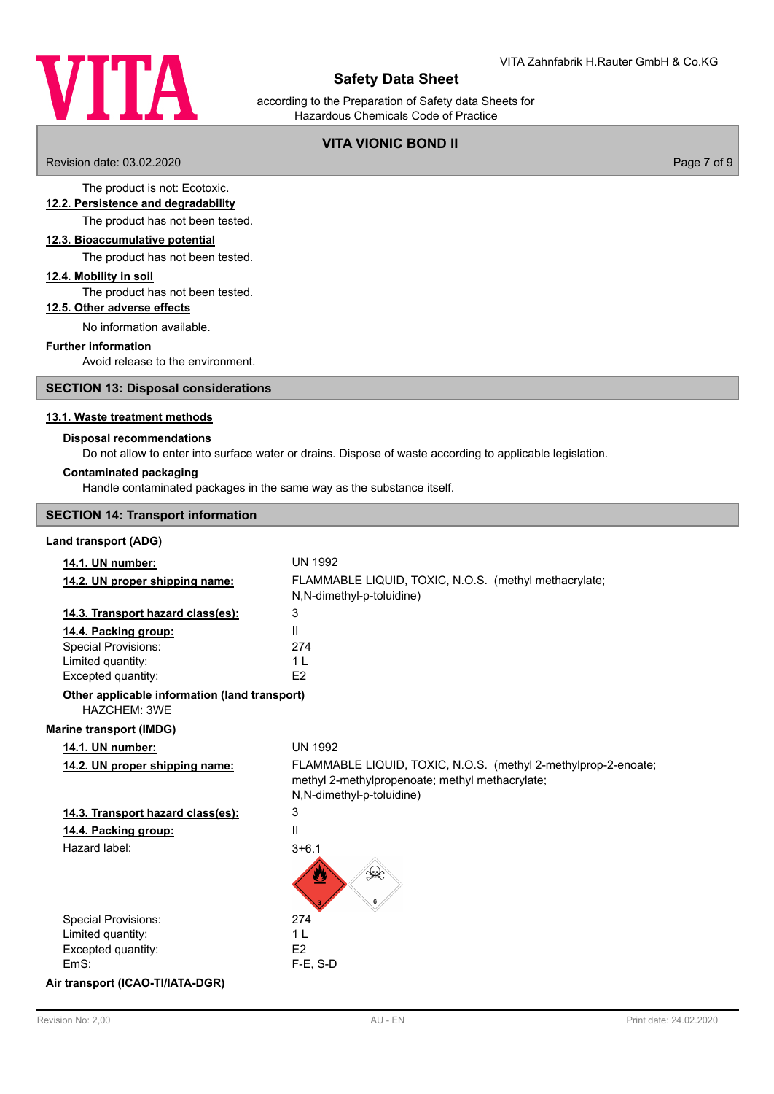

according to the Preparation of Safety data Sheets for Hazardous Chemicals Code of Practice

## **VITA VIONIC BOND II**

Revision date: 03.02.2020 Page 7 of 9

### The product is not: Ecotoxic. **12.2. Persistence and degradability**

The product has not been tested.

### **12.3. Bioaccumulative potential**

The product has not been tested.

### **12.4. Mobility in soil**

The product has not been tested.

## **12.5. Other adverse effects**

No information available.

## **Further information**

Avoid release to the environment.

## **SECTION 13: Disposal considerations**

## **13.1. Waste treatment methods**

### **Disposal recommendations**

Do not allow to enter into surface water or drains. Dispose of waste according to applicable legislation.

### **Contaminated packaging**

Handle contaminated packages in the same way as the substance itself.

## **SECTION 14: Transport information**

## **Land transport (ADG)**

| 14.1. UN number:                                              | <b>UN 1992</b>                                                                                                                                 |
|---------------------------------------------------------------|------------------------------------------------------------------------------------------------------------------------------------------------|
| 14.2. UN proper shipping name:                                | FLAMMABLE LIQUID, TOXIC, N.O.S. (methyl methacrylate;<br>N,N-dimethyl-p-toluidine)                                                             |
| 14.3. Transport hazard class(es):                             | 3                                                                                                                                              |
| 14.4. Packing group:                                          | $\mathbf{H}$                                                                                                                                   |
| <b>Special Provisions:</b>                                    | 274                                                                                                                                            |
| Limited quantity:                                             | 1 <sub>L</sub>                                                                                                                                 |
| Excepted quantity:                                            | E <sub>2</sub>                                                                                                                                 |
| Other applicable information (land transport)<br>HAZCHEM: 3WE |                                                                                                                                                |
| <b>Marine transport (IMDG)</b>                                |                                                                                                                                                |
| 14.1. UN number:                                              | <b>UN 1992</b>                                                                                                                                 |
| 14.2. UN proper shipping name:                                | FLAMMABLE LIQUID, TOXIC, N.O.S. (methyl 2-methylprop-2-enoate;<br>methyl 2-methylpropenoate; methyl methacrylate;<br>N,N-dimethyl-p-toluidine) |
| 14.3. Transport hazard class(es):                             | 3                                                                                                                                              |
| 14.4. Packing group:                                          | Ш                                                                                                                                              |
| Hazard label:                                                 | $3 + 6.1$                                                                                                                                      |
|                                                               | ≸.<br>≫                                                                                                                                        |
| <b>Special Provisions:</b>                                    | 274                                                                                                                                            |
| Limited quantity:                                             | 1 <sub>L</sub>                                                                                                                                 |
| Excepted quantity:                                            | E <sub>2</sub>                                                                                                                                 |
| EmS:                                                          | $F-E$ , S-D                                                                                                                                    |
|                                                               |                                                                                                                                                |

### **Air transport (ICAO-TI/IATA-DGR)**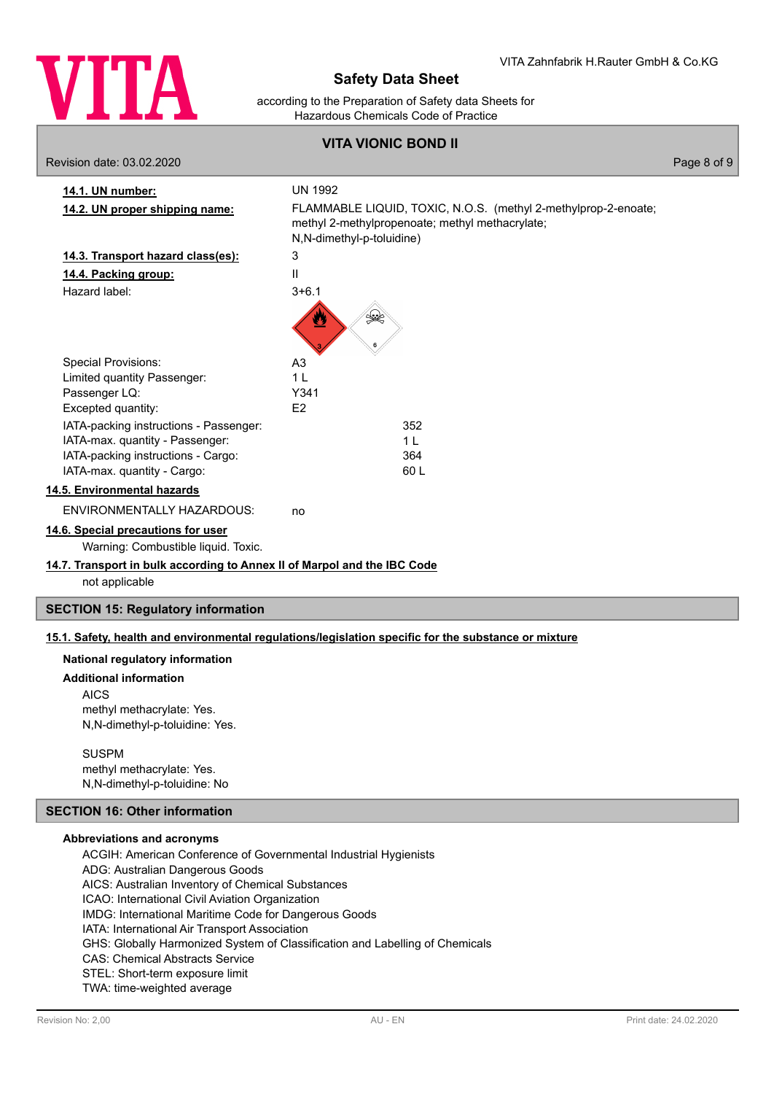

according to the Preparation of Safety data Sheets for Hazardous Chemicals Code of Practice

**VITA VIONIC BOND II**

|                                                                                            | <u>VIIA VIUNIU DUNU II</u>                                                                                                                                       |             |
|--------------------------------------------------------------------------------------------|------------------------------------------------------------------------------------------------------------------------------------------------------------------|-------------|
| Revision date: 03.02.2020                                                                  |                                                                                                                                                                  | Page 8 of 9 |
| 14.1. UN number:<br>14.2. UN proper shipping name:                                         | <b>UN 1992</b><br>FLAMMABLE LIQUID, TOXIC, N.O.S. (methyl 2-methylprop-2-enoate;<br>methyl 2-methylpropenoate; methyl methacrylate;<br>N,N-dimethyl-p-toluidine) |             |
| 14.3. Transport hazard class(es):                                                          | 3                                                                                                                                                                |             |
| 14.4. Packing group:                                                                       | $\mathbf{I}$                                                                                                                                                     |             |
| Hazard label:                                                                              | $3 + 6.1$<br>Ø<br>≸≹                                                                                                                                             |             |
| <b>Special Provisions:</b>                                                                 | A <sub>3</sub>                                                                                                                                                   |             |
| Limited quantity Passenger:                                                                | 1 <sub>L</sub>                                                                                                                                                   |             |
| Passenger LQ:                                                                              | Y341                                                                                                                                                             |             |
| Excepted quantity:                                                                         | E2                                                                                                                                                               |             |
| IATA-packing instructions - Passenger:                                                     | 352                                                                                                                                                              |             |
| IATA-max. quantity - Passenger:                                                            | 1 <sub>L</sub>                                                                                                                                                   |             |
| IATA-packing instructions - Cargo:                                                         | 364                                                                                                                                                              |             |
| IATA-max. quantity - Cargo:                                                                | 60L                                                                                                                                                              |             |
| 14.5. Environmental hazards                                                                |                                                                                                                                                                  |             |
| ENVIRONMENTALLY HAZARDOUS:                                                                 | no                                                                                                                                                               |             |
| 14.6. Special precautions for user<br>Warning: Combustible liquid. Toxic.                  |                                                                                                                                                                  |             |
| 14.7. Transport in bulk according to Annex II of Marpol and the IBC Code<br>not applicable |                                                                                                                                                                  |             |
| <b>SECTION 15: Regulatory information</b>                                                  |                                                                                                                                                                  |             |

## **15.1. Safety, health and environmental regulations/legislation specific for the substance or mixture**

### **National regulatory information**

#### **Additional information**

AICS methyl methacrylate: Yes. N,N-dimethyl-p-toluidine: Yes.

SUSPM methyl methacrylate: Yes. N,N-dimethyl-p-toluidine: No

## **SECTION 16: Other information**

### **Abbreviations and acronyms**

ACGIH: American Conference of Governmental Industrial Hygienists ADG: Australian Dangerous Goods AICS: Australian Inventory of Chemical Substances ICAO: International Civil Aviation Organization IMDG: International Maritime Code for Dangerous Goods IATA: International Air Transport Association GHS: Globally Harmonized System of Classification and Labelling of Chemicals CAS: Chemical Abstracts Service STEL: Short-term exposure limit TWA: time-weighted average